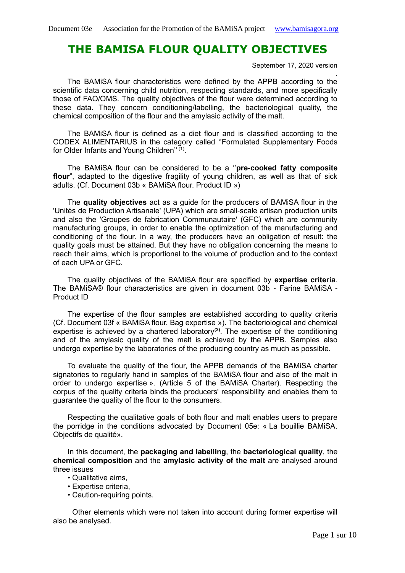# **THE BAMISA FLOUR QUALITY OBJECTIVES**

September 17, 2020 version

. The BAMiSA flour characteristics were defined by the APPB according to the scientific data concerning child nutrition, respecting standards, and more specifically those of FAO/OMS. The quality objectives of the flour were determined according to these data. They concern conditioning/labelling, the bacteriological quality, the chemical composition of the flour and the amylasic activity of the malt.

The BAMiSA flour is defined as a diet flour and is classified according to the CODEX ALIMENTARIUS in the category called ''Formulated Supplementary Foods for Older Infants and Young Children"<sup>(1)</sup>.

The BAMiSA flour can be considered to be a ''**pre-cooked fatty composite flour**", adapted to the digestive fragility of young children, as well as that of sick adults. (Cf. Document 03b « BAMiSA flour. Product ID »)

The **quality objectives** act as a guide for the producers of BAMiSA flour in the 'Unités de Production Artisanale' (UPA) which are small-scale artisan production units and also the 'Groupes de fabrication Communautaire' (GFC) which are community manufacturing groups, in order to enable the optimization of the manufacturing and conditioning of the flour. In a way, the producers have an obligation of result: the quality goals must be attained. But they have no obligation concerning the means to reach their aims, which is proportional to the volume of production and to the context of each UPA or GFC.

The quality objectives of the BAMiSA flour are specified by **expertise criteria**. The BAMiSA® flour characteristics are given in document 03b - Farine BAMiSA - Product ID

The expertise of the flour samples are established according to quality criteria (Cf. Document 03f « BAMiSA flour. Bag expertise »). The bacteriological and chemical expertise is achieved by a chartered laboratory**(2)**. The expertise of the conditioning and of the amylasic quality of the malt is achieved by the APPB. Samples also undergo expertise by the laboratories of the producing country as much as possible.

To evaluate the quality of the flour, the APPB demands of the BAMiSA charter signatories to regularly hand in samples of the BAMiSA flour and also of the malt in order to undergo expertise ». (Article 5 of the BAMiSA Charter). Respecting the corpus of the quality criteria binds the producers' responsibility and enables them to guarantee the quality of the flour to the consumers.

Respecting the qualitative goals of both flour and malt enables users to prepare the porridge in the conditions advocated by Document 05e: « La bouillie BAMiSA. Objectifs de qualité».

In this document, the **packaging and labelling**, the **bacteriological quality**, the **chemical composition** and the **amylasic activity of the malt** are analysed around three issues

- Qualitative aims,
- Expertise criteria,
- Caution-requiring points.

Other elements which were not taken into account during former expertise will also be analysed.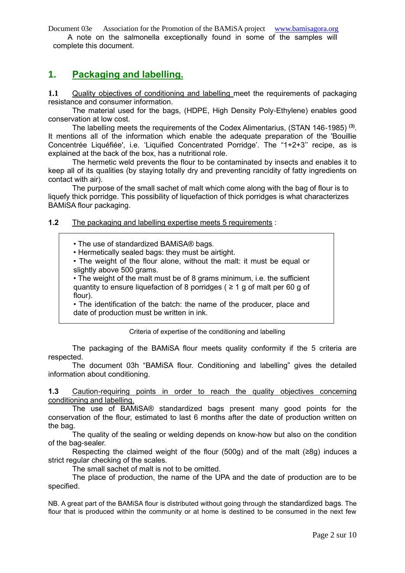Document 03e Association for the Promotion of the BAMiSA project [www.bamisagora.org](http://www.bamisagora.org/) A note on the salmonella exceptionally found in some of the samples will complete this document.

# **1. Packaging and labelling.**

**1.1** Quality objectives of conditioning and labelling meet the requirements of packaging resistance and consumer information.

The material used for the bags, (HDPE, High Density Poly-Ethylene) enables good conservation at low cost.

The labelling meets the requirements of the Codex Alimentarius, (STAN 146-1985) **(3)** . It mentions all of the information which enable the adequate preparation of the 'Bouillie Concentrée Liquéfiée', i.e. 'Liquified Concentrated Porridge'. The "1+2+3'' recipe, as is explained at the back of the box, has a nutritional role.

The hermetic weld prevents the flour to be contaminated by insects and enables it to keep all of its qualities (by staying totally dry and preventing rancidity of fatty ingredients on contact with air).

The purpose of the small sachet of malt which come along with the bag of flour is to liquefy thick porridge. This possibility of liquefaction of thick porridges is what characterizes BAMiSA flour packaging.

### **1.2** The packaging and labelling expertise meets 5 requirements :

• The use of standardized BAMiSA® bags.

• Hermetically sealed bags: they must be airtight.

• The weight of the flour alone, without the malt: it must be equal or slightly above 500 grams.

• The weight of the malt must be of 8 grams minimum, i.e. the sufficient quantity to ensure liquefaction of 8 porridges ( $\geq 1$  g of malt per 60 g of flour).

• The identification of the batch: the name of the producer, place and date of production must be written in ink.

Criteria of expertise of the conditioning and labelling

The packaging of the BAMiSA flour meets quality conformity if the 5 criteria are respected.

The document 03h "BAMiSA flour. Conditioning and labelling" gives the detailed information about conditioning.

**1.3** Caution-requiring points in order to reach the quality objectives concerning conditioning and labelling.

The use of BAMiSA® standardized bags present many good points for the conservation of the flour, estimated to last 6 months after the date of production written on the bag.

The quality of the sealing or welding depends on know-how but also on the condition of the bag-sealer.

Respecting the claimed weight of the flour (500g) and of the malt (≥8g) induces a strict regular checking of the scales.

The small sachet of malt is not to be omitted.

The place of production, the name of the UPA and the date of production are to be specified.

NB. A great part of the BAMiSA flour is distributed without going through the standardized bags. The flour that is produced within the community or at home is destined to be consumed in the next few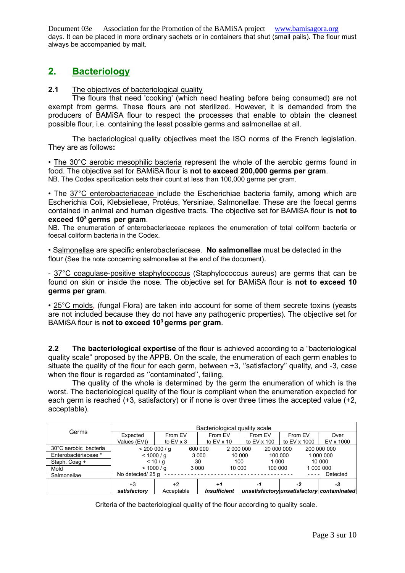Document 03e Association for the Promotion of the BAMiSA project [www.bamisagora.org](http://www.bamisagora.org/) days. It can be placed in more ordinary sachets or in containers that shut (small pails). The flour must always be accompanied by malt.

## **2. Bacteriology**

## **2.1** The objectives of bacteriological quality

The flours that need 'cooking' (which need heating before being consumed) are not exempt from germs. These flours are not sterilized. However, it is demanded from the producers of BAMiSA flour to respect the processes that enable to obtain the cleanest possible flour, i.e. containing the least possible germs and salmonellae at all.

The bacteriological quality objectives meet the ISO norms of the French legislation. They are as follows**:**

• The 30°C aerobic mesophilic bacteria represent the whole of the aerobic germs found in food. The objective set for BAMiSA flour is **not to exceed 200,000 germs per gram**. NB. The Codex specification sets their count at less than 100,000 germs per gram.

• The 37°C enterobacteriaceae include the Escherichiae bacteria family, among which are Escherichia Coli, Klebsielleae, Protéus, Yersiniae, Salmonellae. These are the foecal germs contained in animal and human digestive tracts. The objective set for BAMiSA flour is **not to exceed 10<sup>3</sup>germs per gram**.

NB. The enumeration of enterobacteriaceae replaces the enumeration of total coliform bacteria or foecal coliform bacteria in the Codex.

• Salmonellae are specific enterobacteriaceae. **No salmonellae** must be detected in the flour (See the note concerning salmonellae at the end of the document).

- 37°C coagulase-positive staphylococcus (Staphylococcus aureus) are germs that can be found on skin or inside the nose. The objective set for BAMiSA flour is **not to exceed 10 germs per gram**.

• 25°C molds, (fungal Flora) are taken into account for some of them secrete toxins (yeasts are not included because they do not have any pathogenic properties). The objective set for BAMiSA flour is **not to exceed 10<sup>3</sup>germs per gram**.

**2.2 The bacteriological expertise** of the flour is achieved according to a "bacteriological quality scale" proposed by the APPB. On the scale, the enumeration of each germ enables to situate the quality of the flour for each germ, between +3, "satisfactory" quality, and -3, case when the flour is regarded as ''contaminated'', failing.

The quality of the whole is determined by the germ the enumeration of which is the worst. The bacteriological quality of the flour is compliant when the enumeration expected for each germ is reached (+3, satisfactory) or if none is over three times the accepted value (+2, acceptable).

|                       | Bacteriological quality scale |                  |         |                     |             |              |                                            |  |
|-----------------------|-------------------------------|------------------|---------|---------------------|-------------|--------------|--------------------------------------------|--|
| Germs                 | Expected                      | From EV          |         | From EV             | From EV     | From EV      | Over                                       |  |
|                       | Values (EV))                  | to $EV \times 3$ |         | to $EV \times 10$   | to EV x 100 | to EV x 1000 | EV x 1000                                  |  |
| 30°C aerobic bacteria |                               | < 2000000/a      | 600 000 | 2 000 000           | 20 000 000  |              | 200 000 000                                |  |
| Enterobactériaceae *  |                               | < 1000 / g       | 3 0 0 0 | 10 000              | 100 000     |              | 1 000 000                                  |  |
| Staph. Coag +         |                               | < 10/a           | 30      | 100                 | 1 0 0 0     |              | 10 000                                     |  |
| Mold                  | < 1000 / g                    |                  | 3 0 0 0 | 10 000              | 100 000     |              | 1 000 000                                  |  |
| Salmonellae           | No detected/ 25 g<br>Detected |                  |         |                     |             |              |                                            |  |
|                       | $+3$                          | +2               |         | +1                  |             | -2           | -3                                         |  |
|                       | satisfactory                  | Acceptable       |         | <b>Insufficient</b> |             |              | unsatisfactory unsatisfactory contaminated |  |

Criteria of the bacteriological quality of the flour according to quality scale.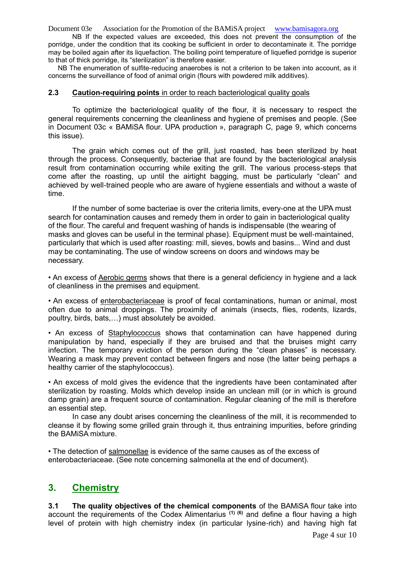NB If the expected values are exceeded, this does not prevent the consumption of the porridge, under the condition that its cooking be sufficient in order to decontaminate it. The porridge may be boiled again after its liquefaction. The boiling point temperature of liquefied porridge is superior to that of thick porridge, its "sterilization" is therefore easier.

NB The enumeration of sulfite-reducing anaerobes is not a criterion to be taken into account, as it concerns the surveillance of food of animal origin (flours with powdered milk additives).

#### **2.3 Caution-requiring points** in order to reach bacteriological quality goals

To optimize the bacteriological quality of the flour, it is necessary to respect the general requirements concerning the cleanliness and hygiene of premises and people. (See in Document 03c « BAMiSA flour. UPA production », paragraph C, page 9, which concerns this issue).

The grain which comes out of the grill, just roasted, has been sterilized by heat through the process. Consequently, bacteriae that are found by the bacteriological analysis result from contamination occurring while exiting the grill. The various process-steps that come after the roasting, up until the airtight bagging, must be particularly "clean" and achieved by well-trained people who are aware of hygiene essentials and without a waste of time.

If the number of some bacteriae is over the criteria limits, every-one at the UPA must search for contamination causes and remedy them in order to gain in bacteriological quality of the flour. The careful and frequent washing of hands is indispensable (the wearing of masks and gloves can be useful in the terminal phase). Equipment must be well-maintained, particularly that which is used after roasting: mill, sieves, bowls and basins... Wind and dust may be contaminating. The use of window screens on doors and windows may be necessary.

• An excess of Aerobic germs shows that there is a general deficiency in hygiene and a lack of cleanliness in the premises and equipment.

• An excess of enterobacteriaceae is proof of fecal contaminations, human or animal, most often due to animal droppings. The proximity of animals (insects, flies, rodents, lizards, poultry, birds, bats,…) must absolutely be avoided.

• An excess of Staphylococcus shows that contamination can have happened during manipulation by hand, especially if they are bruised and that the bruises might carry infection. The temporary eviction of the person during the "clean phases" is necessary. Wearing a mask may prevent contact between fingers and nose (the latter being perhaps a healthy carrier of the staphylococcus).

• An excess of mold gives the evidence that the ingredients have been contaminated after sterilization by roasting. Molds which develop inside an unclean mill (or in which is ground damp grain) are a frequent source of contamination. Regular cleaning of the mill is therefore an essential step.

In case any doubt arises concerning the cleanliness of the mill, it is recommended to cleanse it by flowing some grilled grain through it, thus entraining impurities, before grinding the BAMiSA mixture.

• The detection of salmonellae is evidence of the same causes as of the excess of enterobacteriaceae. (See note concerning salmonella at the end of document).

## **3. Chemistry**

**3.1 The quality objectives of the chemical components** of the BAMiSA flour take into account the requirements of the Codex Alimentarius **(1) (6)** and define a flour having a high level of protein with high chemistry index (in particular lysine-rich) and having high fat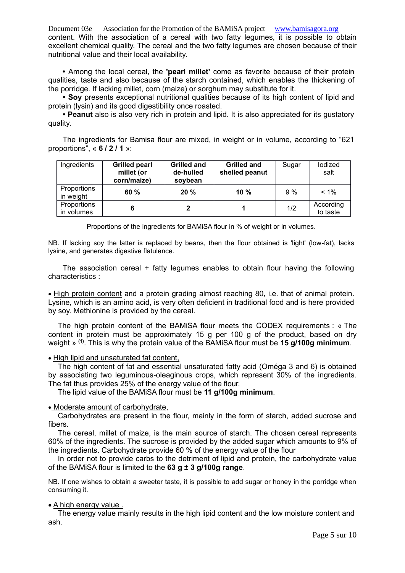Document 03e Association for the Promotion of the BAMiSA project [www.bamisagora.org](http://www.bamisagora.org/) content. With the association of a cereal with two fatty legumes, it is possible to obtain excellent chemical quality. The cereal and the two fatty legumes are chosen because of their nutritional value and their local availability.

**•** Among the local cereal, the **'pearl millet'** come as favorite because of their protein qualities, taste and also because of the starch contained, which enables the thickening of the porridge. If lacking millet, corn (maize) or sorghum may substitute for it.

**• Soy** presents exceptional nutritional qualities because of its high content of lipid and protein (lysin) and its good digestibility once roasted.

**• Peanut** also is also very rich in protein and lipid. It is also appreciated for its gustatory quality.

The ingredients for Bamisa flour are mixed, in weight or in volume, according to "621 proportions", « **6 / 2 / 1** »:

| Ingredients               | <b>Grilled pearl</b><br>millet (or<br>corn/maize) | <b>Grilled and</b><br>de-hulled<br>soybean | <b>Grilled and</b><br>shelled peanut | Sugar | lodized<br>salt       |
|---------------------------|---------------------------------------------------|--------------------------------------------|--------------------------------------|-------|-----------------------|
| Proportions<br>in weight  | $60 \%$                                           | 20%                                        | $10\%$                               | 9%    | $< 1\%$               |
| Proportions<br>in volumes |                                                   |                                            |                                      | 1/2   | According<br>to taste |

Proportions of the ingredients for BAMiSA flour in % of weight or in volumes.

NB. If lacking soy the latter is replaced by beans, then the flour obtained is 'light' (low-fat), lacks lysine, and generates digestive flatulence.

The association cereal + fatty legumes enables to obtain flour having the following characteristics :

• High protein content and a protein grading almost reaching 80, i.e. that of animal protein. Lysine, which is an amino acid, is very often deficient in traditional food and is here provided by soy. Methionine is provided by the cereal.

The high protein content of the BAMiSA flour meets the CODEX requirements : « The content in protein must be approximately 15 g per 100 g of the product, based on dry weight » **(1)**. This is why the protein value of the BAMiSA flour must be **15 g/100g minimum**.

#### • High lipid and unsaturated fat content,

The high content of fat and essential unsaturated fatty acid (Oméga 3 and 6) is obtained by associating two leguminous-oleaginous crops, which represent 30% of the ingredients. The fat thus provides 25% of the energy value of the flour.

The lipid value of the BAMiSA flour must be **11 g/100g minimum**.

#### • Moderate amount of carbohydrate,

Carbohydrates are present in the flour, mainly in the form of starch, added sucrose and fibers.

The cereal, millet of maize, is the main source of starch. The chosen cereal represents 60% of the ingredients. The sucrose is provided by the added sugar which amounts to 9% of the ingredients. Carbohydrate provide 60 % of the energy value of the flour

In order not to provide carbs to the detriment of lipid and protein, the carbohydrate value of the BAMiSA flour is limited to the **63 g ± 3 g/100g range**.

NB. If one wishes to obtain a sweeter taste, it is possible to add sugar or honey in the porridge when consuming it.

#### • A high energy value .

The energy value mainly results in the high lipid content and the low moisture content and ash.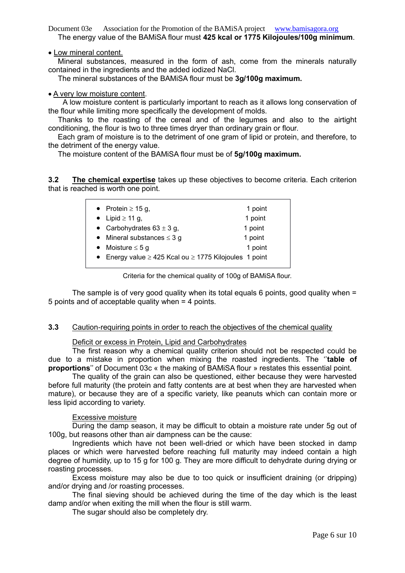Document 03e Association for the Promotion of the BAMiSA project [www.bamisagora.org](http://www.bamisagora.org/) The energy value of the BAMiSA flour must **425 kcal or 1775 Kilojoules/100g minimum**.

#### • Low mineral content.

Mineral substances, measured in the form of ash, come from the minerals naturally contained in the ingredients and the added iodized NaCl.

The mineral substances of the BAMiSA flour must be **3g/100g maximum.**

#### • A very low moisture content.

A low moisture content is particularly important to reach as it allows long conservation of the flour while limiting more specifically the development of molds.

Thanks to the roasting of the cereal and of the legumes and also to the airtight conditioning, the flour is two to three times dryer than ordinary grain or flour.

Each gram of moisture is to the detriment of one gram of lipid or protein, and therefore, to the detriment of the energy value.

The moisture content of the BAMiSA flour must be of **5g/100g maximum.**

**3.2 The chemical expertise** takes up these objectives to become criteria. Each criterion that is reached is worth one point.

| • Protein $\geq 15$ g,                                           | 1 point |
|------------------------------------------------------------------|---------|
| • Lipid $\geq$ 11 g,                                             | 1 point |
| • Carbohydrates $63 \pm 3$ g,                                    | 1 point |
| • Mineral substances $\leq$ 3 g                                  | 1 point |
| • Moisture $\leq$ 5 g                                            | 1 point |
| • Energy value $\geq$ 425 Kcal ou $\geq$ 1775 Kilojoules 1 point |         |
|                                                                  |         |

Criteria for the chemical quality of 100g of BAMiSA flour.

The sample is of very good quality when its total equals 6 points, good quality when  $=$ 5 points and of acceptable quality when = 4 points.

### **3.3** Caution-requiring points in order to reach the objectives of the chemical quality

#### Deficit or excess in Protein, Lipid and Carbohydrates

The first reason why a chemical quality criterion should not be respected could be due to a mistake in proportion when mixing the roasted ingredients. The ''**table of proportions**'' of Document 03c « the making of BAMiSA flour » restates this essential point.

The quality of the grain can also be questioned, either because they were harvested before full maturity (the protein and fatty contents are at best when they are harvested when mature), or because they are of a specific variety, like peanuts which can contain more or less lipid according to variety.

#### Excessive moisture

During the damp season, it may be difficult to obtain a moisture rate under 5g out of 100g, but reasons other than air dampness can be the cause:

Ingredients which have not been well-dried or which have been stocked in damp places or which were harvested before reaching full maturity may indeed contain a high degree of humidity, up to 15 g for 100 g. They are more difficult to dehydrate during drying or roasting processes.

Excess moisture may also be due to too quick or insufficient draining (or dripping) and/or drying and /or roasting processes.

The final sieving should be achieved during the time of the day which is the least damp and/or when exiting the mill when the flour is still warm.

The sugar should also be completely dry.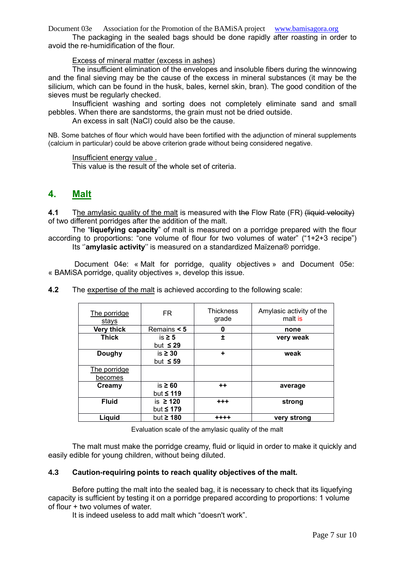The packaging in the sealed bags should be done rapidly after roasting in order to avoid the re-humidification of the flour.

### Excess of mineral matter (excess in ashes)

The insufficient elimination of the envelopes and insoluble fibers during the winnowing and the final sieving may be the cause of the excess in mineral substances (it may be the silicium, which can be found in the husk, bales, kernel skin, bran). The good condition of the sieves must be regularly checked.

Insufficient washing and sorting does not completely eliminate sand and small pebbles. When there are sandstorms, the grain must not be dried outside.

An excess in salt (NaCl) could also be the cause.

NB. Some batches of flour which would have been fortified with the adjunction of mineral supplements (calcium in particular) could be above criterion grade without being considered negative.

#### Insufficient energy value .

This value is the result of the whole set of criteria.

## **4. Malt**

**4.1** The amylasic quality of the malt is measured with the Flow Rate (FR) (liquid velocity) of two different porridges after the addition of the malt.

The "**liquefying capacity**" of malt is measured on a porridge prepared with the flour according to proportions: "one volume of flour for two volumes of water" ("1+2+3 recipe") Its ''**amylasic activity**'' is measured on a standardized Maïzena® porridge.

Document 04e: « Malt for porridge, quality objectives » and Document 05e: « BAMiSA porridge, quality objectives », develop this issue.

| The porridge<br>stays | FR.            | <b>Thickness</b><br>grade | Amylasic activity of the<br>malt is |
|-----------------------|----------------|---------------------------|-------------------------------------|
| <b>Very thick</b>     | Remains $< 5$  | 0                         | none                                |
| <b>Thick</b>          | is $\geq 5$    | 土                         | very weak                           |
|                       | but $\leq$ 29  |                           |                                     |
| <b>Doughy</b>         | is $\geq 30$   | ÷                         | weak                                |
|                       | but $\leq$ 59  |                           |                                     |
| The porridge          |                |                           |                                     |
| becomes               |                |                           |                                     |
| Creamy                | is $\geq 60$   | $++$                      | average                             |
|                       | but $\leq 119$ |                           |                                     |
| <b>Fluid</b>          | is $\geq$ 120  | $+ + +$                   | strong                              |
|                       | but $\leq 179$ |                           |                                     |
| Liquid                | but $\geq$ 180 | ++++                      | very strong                         |

**4.2** The expertise of the malt is achieved according to the following scale:

Evaluation scale of the amylasic quality of the malt

The malt must make the porridge creamy, fluid or liquid in order to make it quickly and easily edible for young children, without being diluted.

### **4.3 Caution-requiring points to reach quality objectives of the malt.**

Before putting the malt into the sealed bag, it is necessary to check that its liquefying capacity is sufficient by testing it on a porridge prepared according to proportions: 1 volume of flour + two volumes of water.

It is indeed useless to add malt which "doesn't work".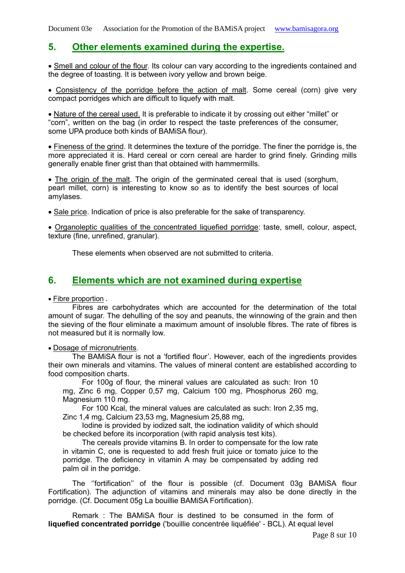## **5. Other elements examined during the expertise.**

• Smell and colour of the flour. Its colour can vary according to the ingredients contained and the degree of toasting. It is between ivory yellow and brown beige.

• Consistency of the porridge before the action of malt. Some cereal (corn) give very compact porridges which are difficult to liquefy with malt.

• Nature of the cereal used. It is preferable to indicate it by crossing out either "millet" or "corn", written on the bag (in order to respect the taste preferences of the consumer, some UPA produce both kinds of BAMiSA flour).

• Fineness of the grind. It determines the texture of the porridge. The finer the porridge is, the more appreciated it is. Hard cereal or corn cereal are harder to grind finely. Grinding mills generally enable finer grist than that obtained with hammermills.

• The origin of the malt. The origin of the germinated cereal that is used (sorghum, pearl millet, corn) is interesting to know so as to identify the best sources of local amylases.

• Sale price. Indication of price is also preferable for the sake of transparency.

• Organoleptic qualities of the concentrated liquefied porridge: taste, smell, colour, aspect, texture (fine, unrefined, granular).

These elements when observed are not submitted to criteria.

# **6. Elements which are not examined during expertise**

## • Fibre proportion .

Fibres are carbohydrates which are accounted for the determination of the total amount of sugar. The dehulling of the soy and peanuts, the winnowing of the grain and then the sieving of the flour eliminate a maximum amount of insoluble fibres. The rate of fibres is not measured but it is normally low.

#### • Dosage of micronutrients.

The BAMiSA flour is not a 'fortified flour'. However, each of the ingredients provides their own minerals and vitamins. The values of mineral content are established according to food composition charts.

For 100g of flour, the mineral values are calculated as such: Iron 10 mg, Zinc 6 mg, Copper 0,57 mg, Calcium 100 mg, Phosphorus 260 mg, Magnesium 110 mg.

For 100 Kcal, the mineral values are calculated as such: Iron 2,35 mg, Zinc 1,4 mg, Calcium 23,53 mg, Magnesium 25,88 mg,

Iodine is provided by iodized salt, the iodination validity of which should be checked before its incorporation (with rapid analysis test kits).

The cereals provide vitamins B. In order to compensate for the low rate in vitamin C, one is requested to add fresh fruit juice or tomato juice to the porridge. The deficiency in vitamin A may be compensated by adding red palm oil in the porridge.

The ''fortification'' of the flour is possible (cf. Document 03g BAMiSA flour Fortification). The adjunction of vitamins and minerals may also be done directly in the porridge. (Cf. Document 05g La bouillie BAMiSA Fortification).

Remark : The BAMiSA flour is destined to be consumed in the form of **liquefied concentrated porridge** ('bouillie concentrée liquéfiée' - BCL). At equal level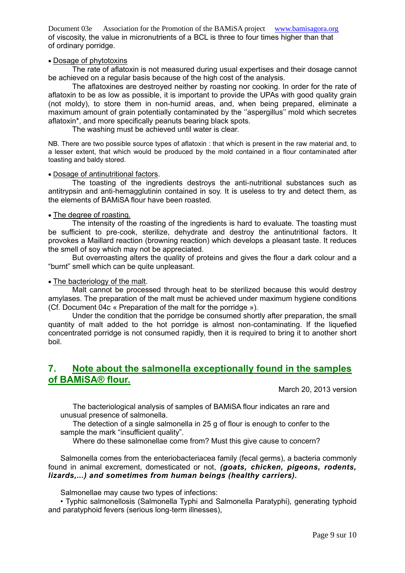Document 03e Association for the Promotion of the BAMiSA project [www.bamisagora.org](http://www.bamisagora.org/) of viscosity, the value in micronutrients of a BCL is three to four times higher than that of ordinary porridge.

#### • Dosage of phytotoxins

The rate of aflatoxin is not measured during usual expertises and their dosage cannot be achieved on a regular basis because of the high cost of the analysis.

The aflatoxines are destroyed neither by roasting nor cooking. In order for the rate of aflatoxin to be as low as possible, it is important to provide the UPAs with good quality grain (not moldy), to store them in non-humid areas, and, when being prepared, eliminate a maximum amount of grain potentially contaminated by the ''aspergillus'' mold which secretes aflatoxin\*, and more specifically peanuts bearing black spots.

The washing must be achieved until water is clear.

NB. There are two possible source types of aflatoxin : that which is present in the raw material and, to a lesser extent, that which would be produced by the mold contained in a flour contaminated after toasting and baldy stored.

#### • Dosage of antinutritional factors.

The toasting of the ingredients destroys the anti-nutritional substances such as antitrypsin and anti-hemagglutinin contained in soy. It is useless to try and detect them, as the elements of BAMiSA flour have been roasted.

#### • The degree of roasting.

The intensity of the roasting of the ingredients is hard to evaluate. The toasting must be sufficient to pre-cook, sterilize, dehydrate and destroy the antinutritional factors. It provokes a Maillard reaction (browning reaction) which develops a pleasant taste. It reduces the smell of soy which may not be appreciated.

But overroasting alters the quality of proteins and gives the flour a dark colour and a "burnt" smell which can be quite unpleasant.

#### • The bacteriology of the malt.

Malt cannot be processed through heat to be sterilized because this would destroy amylases. The preparation of the malt must be achieved under maximum hygiene conditions (Cf. Document 04c « Preparation of the malt for the porridge »).

Under the condition that the porridge be consumed shortly after preparation, the small quantity of malt added to the hot porridge is almost non-contaminating. If the liquefied concentrated porridge is not consumed rapidly, then it is required to bring it to another short boil.

## **7. Note about the salmonella exceptionally found in the samples of BAMiSA® flour.**

March 20, 2013 version

The bacteriological analysis of samples of BAMiSA flour indicates an rare and unusual presence of salmonella.

The detection of a single salmonella in 25 g of flour is enough to confer to the sample the mark "insufficient quality".

Where do these salmonellae come from? Must this give cause to concern?

Salmonella comes from the enteriobacteriacea family (fecal germs), a bacteria commonly found in animal excrement, domesticated or not, *(goats, chicken, pigeons, rodents, lizards,...) and sometimes from human beings (healthy carriers).*

Salmonellae may cause two types of infections:

• Typhic salmonellosis (Salmonella Typhi and Salmonella Paratyphi), generating typhoid and paratyphoid fevers (serious long-term illnesses),